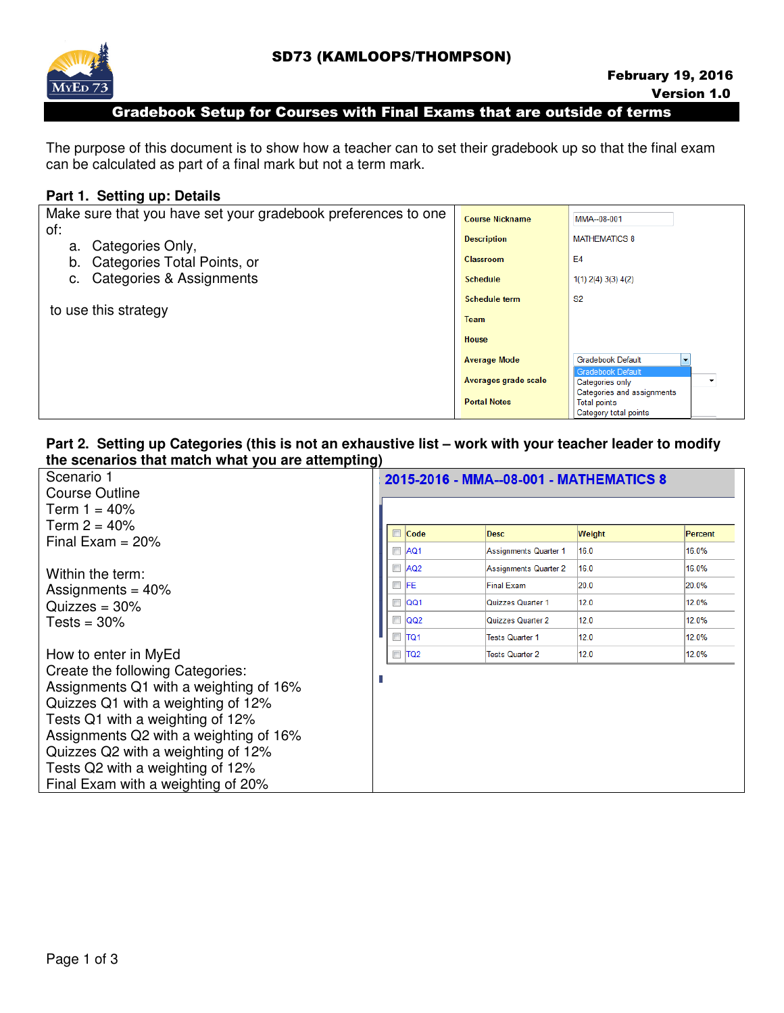

#### Gradebook Setup for Courses with Final Exams that are outside of terms

The purpose of this document is to show how a teacher can to set their gradebook up so that the final exam can be calculated as part of a final mark but not a term mark.

#### **Part 1. Setting up: Details**

| Make sure that you have set your gradebook preferences to one | <b>Course Nickname</b> | MMA--08-001                                                               |
|---------------------------------------------------------------|------------------------|---------------------------------------------------------------------------|
| of:<br>Categories Only,<br>а.                                 | <b>Description</b>     | <b>MATHEMATICS 8</b>                                                      |
| Categories Total Points, or<br>b.                             | <b>Classroom</b>       | E <sub>4</sub>                                                            |
| Categories & Assignments<br>с.                                | <b>Schedule</b>        | $1(1)$ 2(4) 3(3) 4(2)                                                     |
|                                                               | <b>Schedule term</b>   | S <sub>2</sub>                                                            |
| to use this strategy                                          | Team                   |                                                                           |
|                                                               | House                  |                                                                           |
|                                                               | <b>Average Mode</b>    | <b>Gradebook Default</b>                                                  |
|                                                               | Averages grade scale   | <b>Gradebook Default</b><br>Categories only<br>Categories and assignments |
|                                                               | <b>Portal Notes</b>    | <b>Total points</b><br>Category total points                              |

### **Part 2. Setting up Categories (this is not an exhaustive list – work with your teacher leader to modify the scenarios that match what you are attempting)**

| Scenario 1                             |        |                 | 2015-2016 - MMA--08-001 - MATHEMATICS 8 |        |         |
|----------------------------------------|--------|-----------------|-----------------------------------------|--------|---------|
| Course Outline                         |        |                 |                                         |        |         |
| Term 1 = 40%                           |        |                 |                                         |        |         |
| Term $2 = 40%$                         |        | Code            | <b>Desc</b>                             | Weight | Percent |
| Final Exam = $20\%$                    |        | AQ <sub>1</sub> | Assignments Quarter 1                   | 16.0   | 16.0%   |
|                                        |        |                 |                                         |        |         |
| Within the term:                       | $\Box$ | AQ <sub>2</sub> | <b>Assignments Quarter 2</b>            | 16.0   | 16.0%   |
| Assignments = $40\%$                   |        | EFE             | <b>Final Exam</b>                       | 20.0   | 20.0%   |
| Quizzes = $30\%$                       | $\Box$ | lQQ1            | Quizzes Quarter 1                       | 12.0   | 12.0%   |
| $Tests = 30\%$                         | $\Box$ | QQ2             | Quizzes Quarter 2                       | 12.0   | 12.0%   |
|                                        |        | $\Box$ TQ1      | <b>Tests Quarter 1</b>                  | 12.0   | 12.0%   |
| How to enter in MyEd                   |        | $\Box$ TQ2      | <b>Tests Quarter 2</b>                  | 12.0   | 12.0%   |
| Create the following Categories:       |        |                 |                                         |        |         |
| Assignments Q1 with a weighting of 16% |        |                 |                                         |        |         |
| Quizzes Q1 with a weighting of 12%     |        |                 |                                         |        |         |
| Tests Q1 with a weighting of 12%       |        |                 |                                         |        |         |
| Assignments Q2 with a weighting of 16% |        |                 |                                         |        |         |
| Quizzes Q2 with a weighting of 12%     |        |                 |                                         |        |         |
| Tests Q2 with a weighting of 12%       |        |                 |                                         |        |         |
| Final Exam with a weighting of 20%     |        |                 |                                         |        |         |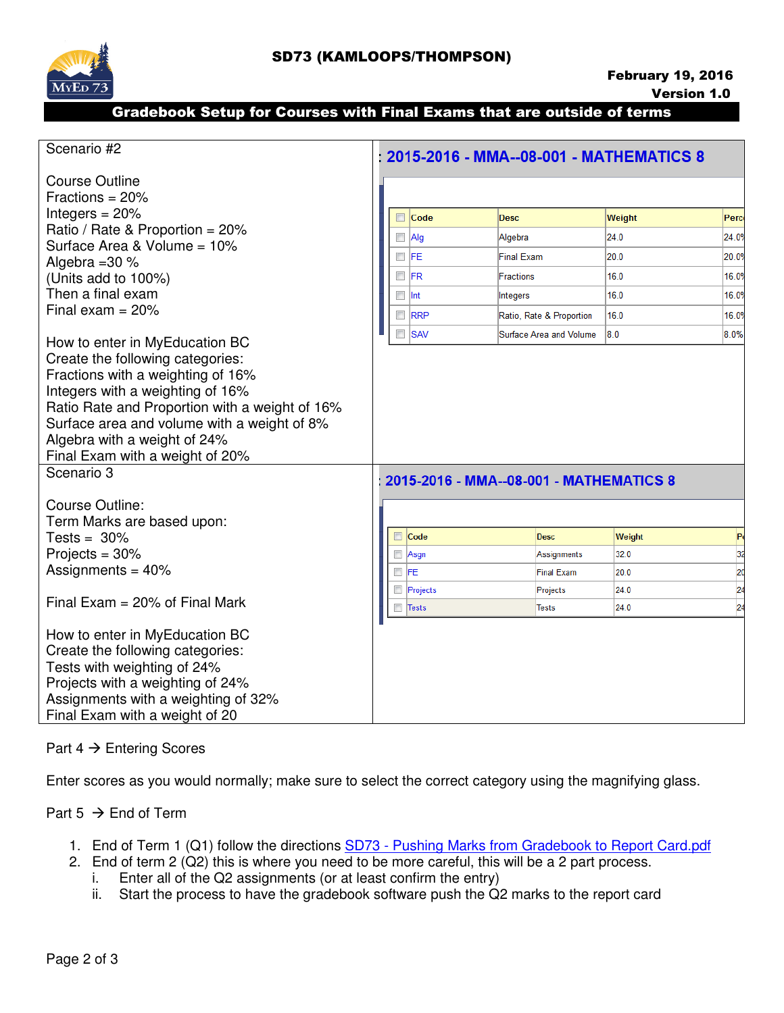

## Gradebook Setup for Courses with Final Exams that are outside of terms

| Scenario #2                                                           |                          |              | 2015-2016 - MMA--08-001 - MATHEMATICS 8 |        |                 |
|-----------------------------------------------------------------------|--------------------------|--------------|-----------------------------------------|--------|-----------------|
| <b>Course Outline</b>                                                 |                          |              |                                         |        |                 |
| Fractions = $20%$                                                     |                          |              |                                         |        |                 |
| Integers $= 20%$                                                      |                          | Code         | <b>Desc</b>                             | Weight | Perc            |
| Ratio / Rate & Proportion = 20%                                       |                          | $\Box$ Alg   | Algebra                                 | 24.0   | 24.09           |
| Surface Area & Volume = 10%                                           |                          | IFE          | <b>Final Exam</b>                       | 20.0   |                 |
| Algebra = $30\%$                                                      |                          |              |                                         |        | 20.0%           |
| (Units add to 100%)                                                   | $\Box$                   | lFR.         | <b>Fractions</b>                        | 16.0   | 16.09           |
| Then a final exam                                                     |                          | lnt          | Integers                                | 16.0   | 16.09           |
| Final exam $= 20\%$                                                   | $\Box$                   | <b>RRP</b>   | Ratio, Rate & Proportion                | 16.0   | 16.09           |
|                                                                       | $\overline{\phantom{a}}$ | <b>SAV</b>   | Surface Area and Volume                 | 8.0    | 8.0%            |
| How to enter in MyEducation BC                                        |                          |              |                                         |        |                 |
| Create the following categories:<br>Fractions with a weighting of 16% |                          |              |                                         |        |                 |
| Integers with a weighting of 16%                                      |                          |              |                                         |        |                 |
| Ratio Rate and Proportion with a weight of 16%                        |                          |              |                                         |        |                 |
| Surface area and volume with a weight of 8%                           |                          |              |                                         |        |                 |
| Algebra with a weight of 24%                                          |                          |              |                                         |        |                 |
| Final Exam with a weight of 20%                                       |                          |              |                                         |        |                 |
| Scenario 3                                                            |                          |              |                                         |        |                 |
|                                                                       |                          |              | 2015-2016 - MMA--08-001 - MATHEMATICS 8 |        |                 |
| Course Outline:                                                       |                          |              |                                         |        |                 |
| Term Marks are based upon:                                            |                          |              |                                         |        |                 |
| Tests = $30\%$                                                        | $\Box$                   | Code         | <b>Desc</b>                             | Weight | P               |
| Projects = $30\%$                                                     | $\Box$                   | Asgn         | Assignments                             | 32.0   | 32              |
| Assignments = $40\%$                                                  | $\Box$                   | <b>IFE</b>   | <b>Final Exam</b>                       | 20.0   | 20              |
|                                                                       | $\Box$                   | Projects     | Projects                                | 24.0   | $\overline{24}$ |
| Final Exam = $20\%$ of Final Mark                                     | $\Box$                   | <b>Tests</b> | <b>Tests</b>                            | 24.0   | 24              |
| How to enter in MyEducation BC                                        |                          |              |                                         |        |                 |
| Create the following categories:                                      |                          |              |                                         |        |                 |
| Tests with weighting of 24%                                           |                          |              |                                         |        |                 |
| Projects with a weighting of 24%                                      |                          |              |                                         |        |                 |
| Assignments with a weighting of 32%                                   |                          |              |                                         |        |                 |
| Final Exam with a weight of 20                                        |                          |              |                                         |        |                 |

# Part  $4 \rightarrow$  Entering Scores

Enter scores as you would normally; make sure to select the correct category using the magnifying glass.

Part  $5 \rightarrow$  End of Term

- 1. End of Term 1 (Q1) follow the directions SD73 Pushing Marks from Gradebook to Report Card.pdf
- 2. End of term 2 (Q2) this is where you need to be more careful, this will be a 2 part process.
	- i. Enter all of the Q2 assignments (or at least confirm the entry) ii. Start the process to have the gradebook software push the Q2
	- Start the process to have the gradebook software push the Q2 marks to the report card